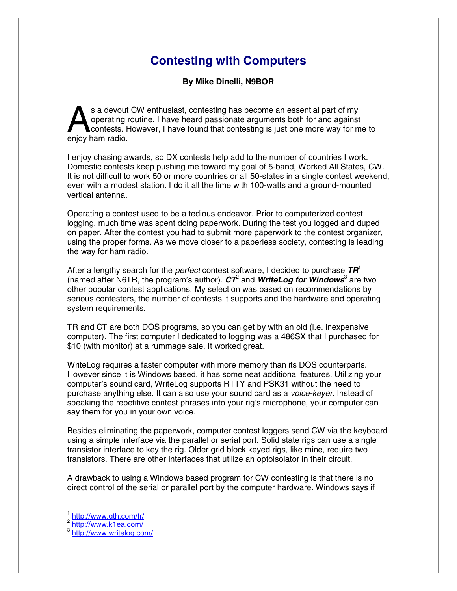## **Contesting with Computers**

**By Mike Dinelli, N9BOR** 

s a devout CW enthusiast, contesting has become an essential part of my operating routine. I have heard passionate arguments both for and against contests. However, I have found that contesting is just one more way for me to s a devout<br>
operating r<br>
contests. Henjoy ham radio.

I enjoy chasing awards, so DX contests help add to the number of countries I work. Domestic contests keep pushing me toward my goal of 5-band, Worked All States, CW. It is not difficult to work 50 or more countries or all 50-states in a single contest weekend, even with a modest station. I do it all the time with 100-watts and a ground-mounted vertical antenna.

Operating a contest used to be a tedious endeavor. Prior to computerized contest logging, much time was spent doing paperwork. During the test you logged and duped on paper. After the contest you had to submit more paperwork to the contest organizer, using the proper forms. As we move closer to a paperless society, contesting is leading the way for ham radio.

After a lengthy search for the *perfect* contest software, I decided to purchase *TR*<sup>1</sup> (named after N6TR, the program's author). CT<sup>e</sup> and *WriteLog for Windows*<sup>3</sup> are two other popular contest applications. My selection was based on recommendations by serious contesters, the number of contests it supports and the hardware and operating system requirements.

TR and CT are both DOS programs, so you can get by with an old (i.e. inexpensive computer). The first computer I dedicated to logging was a 486SX that I purchased for \$10 (with monitor) at a rummage sale. It worked great.

WriteLog requires a faster computer with more memory than its DOS counterparts. However since it is Windows based, it has some neat additional features. Utilizing your computer's sound card, WriteLog supports RTTY and PSK31 without the need to purchase anything else. It can also use your sound card as a *voice-keyer*. Instead of speaking the repetitive contest phrases into your rig's microphone, your computer can say them for you in your own voice.

Besides eliminating the paperwork, computer contest loggers send CW via the keyboard using a simple interface via the parallel or serial port. Solid state rigs can use a single transistor interface to key the rig. Older grid block keyed rigs, like mine, require two transistors. There are other interfaces that utilize an optoisolator in their circuit.

A drawback to using a Windows based program for CW contesting is that there is no direct control of the serial or parallel port by the computer hardware. Windows says if

 $\overline{a}$ 

 $\frac{1}{2} \frac{\text{http://www.qth.com/tr/}}{\text{http://www.k1ea.com/}}$ <br> $\frac{\text{http://www.k1ea.com/}}{\text{http://www.writeloq.com/}}$